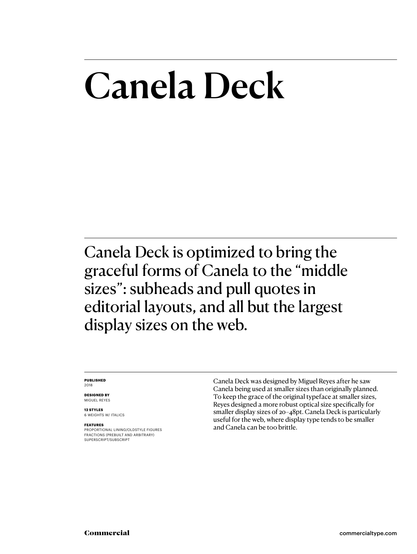## Canela Deck

Canela Deck is optimized to bring the graceful forms of Canela to the "middle sizes": subheads and pull quotes in editorial layouts, and all but the largest display sizes on the web.

### **PUBLISHED** 2018

**DESIGNED BY** MIGUEL REYES

**12 STYLES** 6 WEIGHTS W/ ITALICS

### **FEATURES**

PROPORTIONAL LINING/OLDSTYLE FIGURES FRACTIONS (PREBUILT AND ARBITRARY) SUPERSCRIPT/SUBSCRIPT

Canela Deck was designed by Miguel Reyes after he saw Canela being used at smaller sizes than originally planned. To keep the grace of the original typeface at smaller sizes, Reyes designed a more robust optical size specifically for smaller display sizes of 20–48pt. Canela Deck is particularly useful for the web, where display type tends to be smaller and Canela can be too brittle.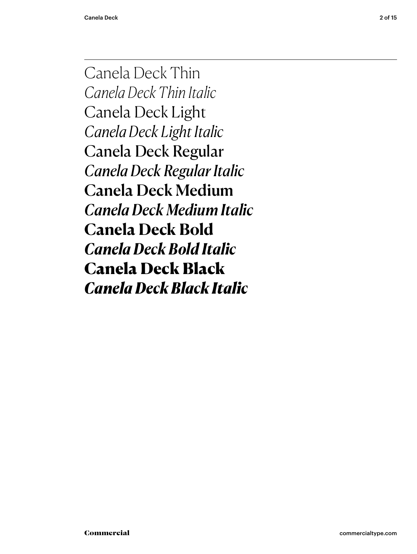Canela Deck Thin *Canela Deck Thin Italic* Canela Deck Light *Canela Deck Light Italic* Canela Deck Regular *Canela Deck Regular Italic* Canela Deck Medium *Canela Deck Medium Italic* **Canela Deck Bold** *Canela Deck Bold Italic* Canela Deck Black *Canela Deck Black Italic*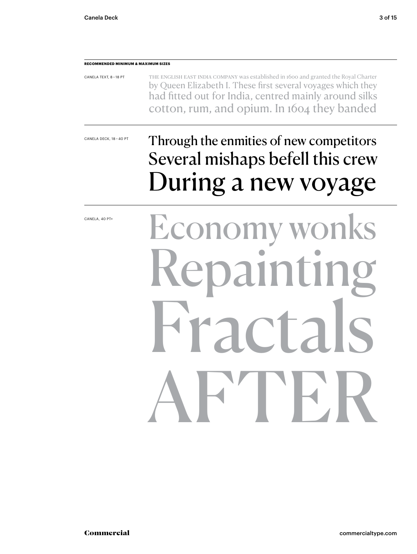### **RECOMMENDED MINIMUM & MAXIMUM SIZES**

| CANELA TEXT, 8-18 PT | THE ENGLISH EAST INDIA COMPANY was established in 1600 and granted the Royal Charter |
|----------------------|--------------------------------------------------------------------------------------|
|                      | by Queen Elizabeth I. These first several voyages which they                         |
|                      | had fitted out for India, centred mainly around silks                                |
|                      | cotton, rum, and opium. In 1604 they banded                                          |

CANELA DECK, 18 – 40 PT

### Through the enmities of new competitors Several mishaps befell this crew During a new voyage

CANELA, 40 PT+

# Economy wor Repainting  $\Gamma$ AFTER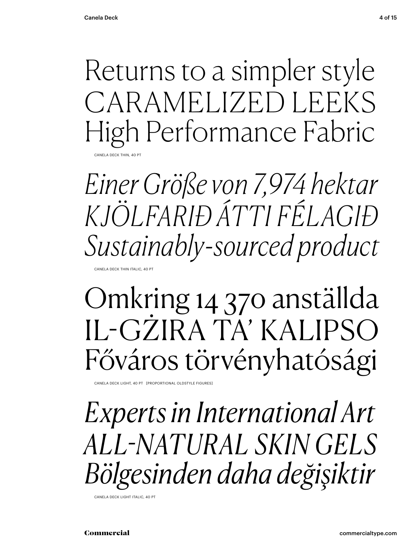Returns to a simpler style CARAMELIZED LEEKS High Performance Fabric ANELA DECK THIN, 40 PT

*Einer Größe von 7,974 hektar KJÖLFARIÐ ÁTTI FÉLAGIÐ Sustainably-sourced product*

CANELA DECK THIN ITALIC, 40 PT

Omkring 14 370 anställda IL-GŻIRA TA' KALIPSO Főváros törvényhatósági

CANELA DECK LIGHT, 40 PT [PROPORTIONAL OLDSTYLE FIGURES]

*Experts in International Art ALL-NATURAL SKIN GELS Bölgesinden daha değişiktir*

CANELA DECK LIGHT ITALIC, 40 PT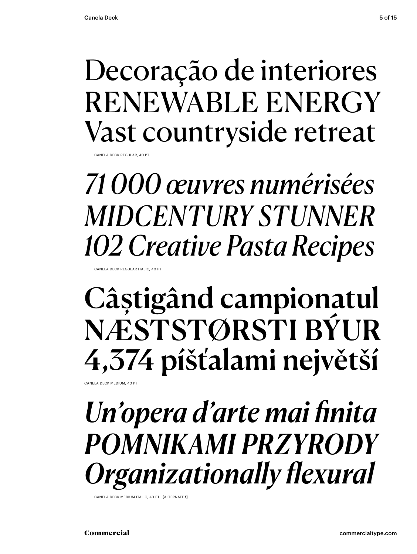### Decoração de interiores RENEWABLE ENERGY Vast countryside retreat

CANELA DECK REGULAR, 40 P

*71 000 œuvres numérisées MIDCENTURY STUNNER 102 Creative Pasta Recipes* 

CANELA DECK REGULAR ITALIC, 40 PT

## Câștigând campionatul NÆSTSTØRSTI BÝUR 4,374 píšťalami největší

CANELA DECK MEDIUM, 40 PT

### *Un'opera d'arte mai finita POMNIKAMI PRZYRODY Organizationally flexural*

CANELA DECK MEDIUM ITALIC, 40 PT [ALTERNATE f]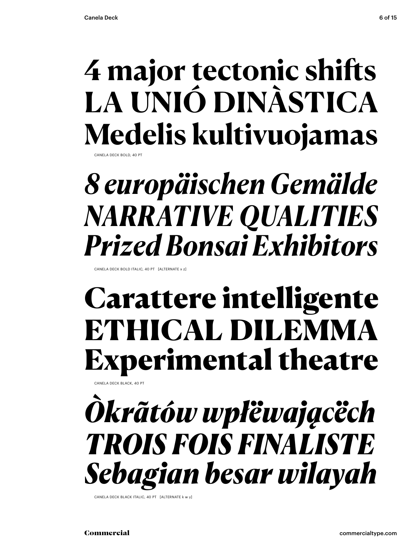## **4 major tectonic shifts LA UNIÓ DINÀSTICA Medelis kultivuojamas**

CANELA DECK BOLD, 40 PT

## *8 europäischen Gemälde NARRATIVE QUALITIES Prized Bonsai Exhibitors*

CANELA DECK BOLD ITALIC, 40 PT [ALTERNATE x z]

### Carattere intelligente ETHICAL DILEMMA Experimental theatre

CANELA DECK BLACK, 40 PT

## *Òkrãtów wpłëwającëch TROIS FOIS FINALISTE Sebagian besar wilayah*

CANELA DECK BLACK ITALIC, 40 PT [ALTERNATE k w y]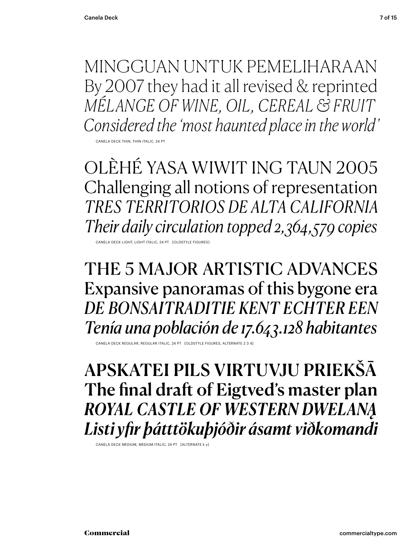MINGGUAN UNTUK PEMELIHARAAN By 2007 they had it all revised & reprinted *MÉLANGE OF WINE, OIL, CEREAL & FRUIT Considered the 'most haunted place in the world'*

CANELA DECK THIN, THIN ITALIC, 24 PT

OLÈHÉ YASA WIWIT ING TAUN 2005 Challenging all notions of representation *TRES TERRITORIOS DE ALTA CALIFORNIA Their daily circulation topped 2,364,579 copies*

CANELA DECK LIGHT, LIGHT ITALIC, 24 PT [OLDSTYLE F

THE 5 MAJOR ARTISTIC ADVANCES Expansive panoramas of this bygone era *DE BONSAITRADITIE KENT ECHTER EEN Tenía una población de 17.643.128 habitantes*

CANELA DECK REGULAR, REGULAR ITALIC, 24 PT [OLDSTYLE FIGURES, ALTERNATE 2 3 4

APSKATEI PILS VIRTUVJU PRIEKŠĀ The final draft of Eigtved's master plan *ROYAL CASTLE OF WESTERN DWELANĄ Listi yfir þátttökuþjóðir ásamt viðkomandi*

CANELA DECK MEDIUM, MEDIUM ITALIC, 24 PT [ALTERNATE k y]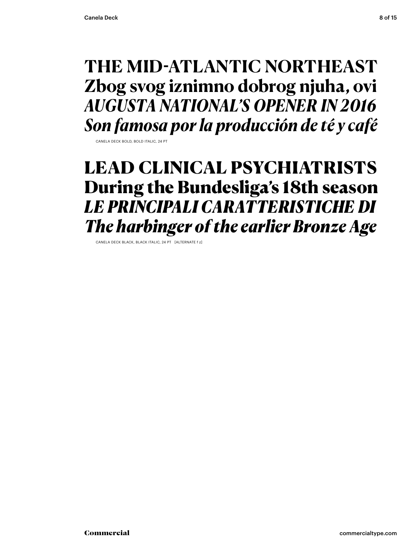### **THE MID-ATLANTIC NORTHEAST Zbog svog iznimno dobrog njuha, ovi** *AUGUSTA NATIONAL'S OPENER IN 2016 Son famosa por la producción de té y café*

CANELA DECK BOLD, BOLD ITALIC, 24 PT

### LEAD CLINICAL PSYCHIATRISTS During the Bundesliga's 18th season *LE PRINCIPALI CARATTERISTICHE DI The harbinger of the earlier Bronze Age*

CANELA DECK BLACK, BLACK ITALIC, 24 PT [ALTERNATE f z]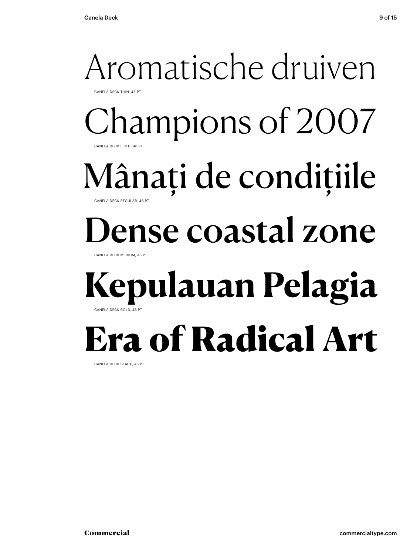### Aromatische druiven CANELA DECK THIN, 48 PT Champions of 2007 CANELA DECK LIGHT, 48 PT Mânați de condițiile CANELA DECK REGULAR, 48 PT ense coastal zone CANELA DECK MEDIUM, 48 PT **Kepulauan Pelagia** CANELA DECK BOLD, 48 PT Era of Radical Art

CANELA DECK BLACK, 48 PT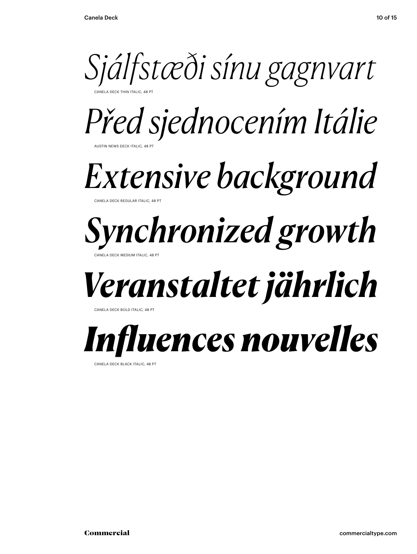

*Před sjednocením Itálie*

AUSTIN NEWS DECK ITALIC, 48 PT

## *Extensive background*

CANELA DECK REGULAR ITALIC, 48 PT

### *Synchronized growth* CANELA DECK MEDIUM ITALIC, 48 PT

## *Veranstaltet jährlich*

CANELA DECK BOLD ITALIC, 48 PT

## *Influences nouvelles*

CANELA DECK BLACK ITALIC, 48 PT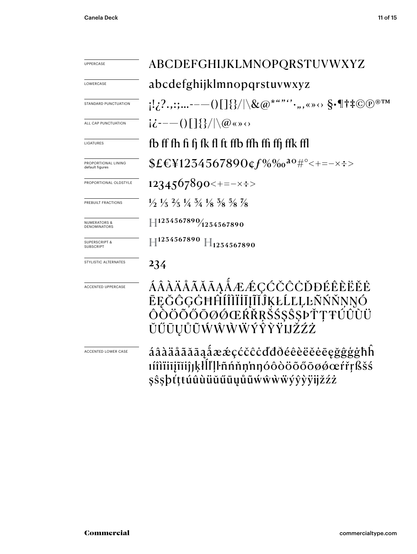| UPPERCASE                                    | ABCDEFGHIJKLMNOPQRSTUVWXYZ                                                                                                                                                                                           |  |
|----------------------------------------------|----------------------------------------------------------------------------------------------------------------------------------------------------------------------------------------------------------------------|--|
| LOWERCASE                                    | abcdefghijklmnopqrstuvwxyz                                                                                                                                                                                           |  |
| STANDARD PUNCTUATION                         | $\{1,2^2,:\;:\;\ldots\text{---}()$ $[$ $]\{ \} /  \setminus \&\textcircled{a^{*`````},$ , « » $\diamond$ $\}$ $\cdot$ $\mathbb{I}^{\dagger}$ $\updownarrow$ $\textcircled{p^{\circled{}}^{\mathbb{T}^{\mathbb{M}}}}$ |  |
| ALL CAP PUNCTUATION                          | $i\dot{\zeta}$ – – () $\left[\frac{1}{2}\right]$ $\left(\frac{1}{2}\right)$ $\left(\frac{1}{2}\right)$                                                                                                               |  |
| LIGATURES                                    | fb ff fh fi fi fk fl ft ffb ffh ffi ffj ffk ffl                                                                                                                                                                      |  |
| PROPORTIONAL LINING<br>default figures       | $$E\&Y1254567890$ $$f\%$ % $a\circ\#$ ° < + = - x $\div$ >                                                                                                                                                           |  |
| PROPORTIONAL OLDSTYLE                        | $1234567890 \leftrightarrow \pm \pm \times \pm \times$                                                                                                                                                               |  |
| PREBUILT FRACTIONS                           | $\frac{1}{2}$ $\frac{1}{3}$ $\frac{2}{3}$ $\frac{1}{4}$ $\frac{3}{4}$ $\frac{1}{8}$ $\frac{5}{8}$ $\frac{5}{8}$ $\frac{7}{8}$                                                                                        |  |
| <b>NUMERATORS &amp;</b><br>DENOMINATORS      | $\left \right. \left \right. \left \right.^{1254567890}\right\rangle _{1254567890}$                                                                                                                                  |  |
| <b>SUPERSCRIPT &amp;</b><br><b>SUBSCRIPT</b> | $\parallel$ 1234567890 $\parallel$ 1234567890                                                                                                                                                                        |  |
| STYLISTIC ALTERNATES                         | 234                                                                                                                                                                                                                  |  |
| <b>ACCENTED UPPERCASE</b>                    | ÁÂÀÄÅÃĂĀĄÅÆÆÇĆČĈÒĐÉÊÈËĔĖ<br>ĒĘĞĜĢĠĦĤĨĨĨĬĨĨĮĨĬĴĶŁĹĽĻĿÑŃŇŅŊÓ<br>ÔŎÖŎŐŐŌØŐŒŔŘŖŠŚŞŜŞÞŤŢŦŰÛÙÜ<br>ŬŰŪŲŮŨŴŴŴŴÝŶŶŸIJŽŹŻ                                                                                                      |  |
| ACCENTED LOWER CASE                          | áâàäåãăāąåææçćčĉċďđðéêèëěēęğĝģġħĥ<br>ıíîìïiīįĩĭiĵjķłĺľļŀñńňņ'nŋóôòöõőōøøœŕřŗßšś<br>şŝşþťṭŧúûùüŭűūųůũẃŵẁẅýŷỳÿijžźż                                                                                                    |  |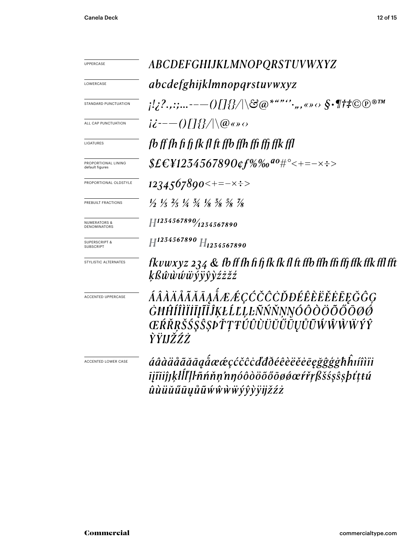| UPPERCASE                                      | <i><b>ABCDEFGHIJKLMNOPQRSTUVWXYZ</b></i>                                                                                      |  |  |
|------------------------------------------------|-------------------------------------------------------------------------------------------------------------------------------|--|--|
| LOWERCASE                                      | <i>abcdefghijklmnopqrstuvwxyz</i>                                                                                             |  |  |
| STANDARD PUNCTUATION                           | $\{1/2^2\ldots : \ldots :--() \int \} \{\}/\backslash \mathfrak{S} @>*``"``\ldots, \ldots \diamond \mathfrak{S} \cdot \P \$   |  |  |
| ALL CAP PUNCTUATION                            | $i\dot{z}$ ---()[]{}/ \@«» $\circ$                                                                                            |  |  |
| LIGATURES                                      | fb ff fh fi fi fk fl ft ffb ffh ffi ffi ffk ffl                                                                               |  |  |
| PROPORTIONAL LINING<br>default figures         | $$EEY1254567890$ cf%‰ <sup>ao</sup> #°<+=-×÷>                                                                                 |  |  |
| PROPORTIONAL OLDSTYLE                          | $1234567890 \leftarrow \leftarrow \leftarrow \leftarrow \leftarrow \leftarrow \leftarrow$                                     |  |  |
| PREBUILT FRACTIONS                             | $\frac{1}{2}$ $\frac{1}{3}$ $\frac{2}{3}$ $\frac{1}{4}$ $\frac{3}{4}$ $\frac{1}{8}$ $\frac{3}{8}$ $\frac{5}{8}$ $\frac{7}{8}$ |  |  |
| <b>NUMERATORS &amp;</b><br><b>DENOMINATORS</b> | $H^{1234567890}/_{1234567890}$                                                                                                |  |  |
| <b>SUPERSCRIPT &amp;</b><br><b>SUBSCRIPT</b>   | $H^{1234567890}$ $H_{1234567890}$                                                                                             |  |  |
| STYLISTIC ALTERNATES                           | fkvwxyz 234 $\&$ fb ff fh fi fj fk fk fl ft ffb ffh ffi ffj ffk ffk ffl fft<br>ķßŵŵŵŵÿŷŷżżžź                                  |  |  |
| <b>ACCENTED UPPERCASE</b>                      | ÁÂÀÄÅÃĂĀĀĄÅÆÆÇĆČĈÒĐÉÊÈËĔĔĒĘĞĜĢ<br>ĠĦĤĺÎÌĬĬĨĮĨĬĴĶŁĹĽĻĿÑŃŇŅŊÓÔÒÖÕŐŌØØ<br>ŒŔŘŖŠŚŞŜŞÞŤŢŦŰÛÙŬŬŰŨŲŮŨŴŴŴŴŶŶ<br>ŶŸIJŽŹŻ               |  |  |
| ACCENTED LOWER CASE                            | áâàäåãããąåææçćčĉcďđðéêèëěēęğĝģġħĥıíîìïi<br>ījĩiiĵjķłĺľļŀñńňṇ'nŋóôòöõőōøǿœŕřṛßšśşŝşþťṭtú                                       |  |  |

 $\hat{u} \hat{u} \ddot{u} \ddot{u} \tilde{u} \ddot{u} \tilde{u} \tilde{u} \hat{w} \hat{w} \hat{w} \ddot{y} \hat{y} \dot{y} \ddot{y} \ddot{y} \ddot{z} \dot{z} \dot{z}$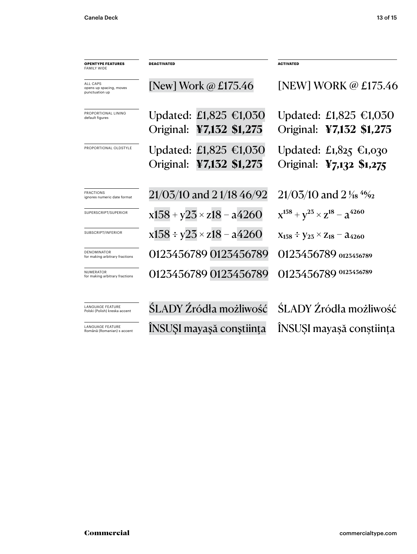| <b>OPENTYPE FEATURES</b><br><b>FAMILY WIDE</b>               | <b>DEACTIVATED</b>                                           | <b>ACTIVATED</b>                                             |
|--------------------------------------------------------------|--------------------------------------------------------------|--------------------------------------------------------------|
| <b>ALL CAPS</b><br>opens up spacing, moves<br>punctuation up | [New] Work $\omega$ £175.46                                  | [NEW] WORK @ £175.46                                         |
| PROPORTIONAL LINING<br>default figures                       | Updated: £1,825 €1,030<br>Original: ¥7,132 \$1,275           | Updated: £1,825 €1,030<br>Original: ¥7,132 \$1,275           |
| PROPORTIONAL OLDSTYLE                                        | Updated: £1,825 $\epsilon$ 1,030<br>Original: ¥7,132 \$1,275 | Updated: £1,825 $\epsilon$ 1,030<br>Original: ¥7,132 \$1,275 |
| <b>FRACTIONS</b><br>ignores numeric date format              | $21/03/10$ and 21/1846/92                                    | $21/03/10$ and $2\frac{1}{18}$ 4%                            |
| SUPERSCRIPT/SUPERIOR                                         | $x158 + y25 \times z18 - a4260$                              | $x^{158} + y^{25} \times z^{18} - a^{4260}$                  |
| SUBSCRIPT/INFERIOR                                           | $x158 \div y23 \times z18 - a4260$                           | $X_{158} \div Y_{25} \times Z_{18} - \lambda_{4260}$         |
| DENOMINATOR<br>for making arbitrary fractions                | 0123456789 0123456789                                        | 0123456789 0123456789                                        |
| NUMERATOR<br>for making arbitrary fractions                  | 0123456789 0123456789                                        | 0123456789 0123456789                                        |
| <b>LANGUAGE FEATURE</b><br>Polski (Polish) kreska accent     | ŚLADY Źródła możliwość                                       | ŚLADY Źródła możliwość                                       |
| LANGUAGE FEATURE<br>Română (Romanian) s accent               | INSUSI mayaşă conștiința                                     | INSUSI mayaşă conștiința                                     |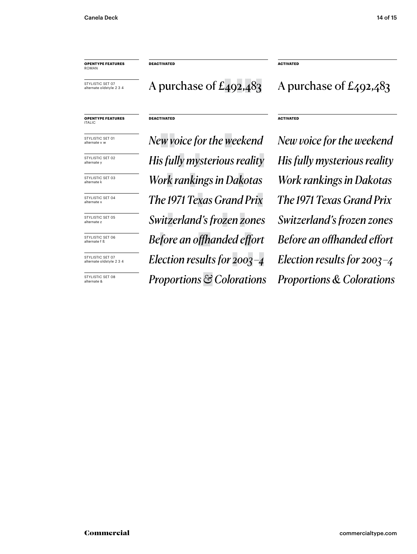**OPENTYPE FEATURES** ROMAN

STYLISTIC SET 07 alternate oldstyle 2 3 4

**DEACTIVATED ACTIVATED**

### **DEACTIVATED ACTIVATED**

STYLISTIC SET 01 alternate v w

**OPENTYPE FEATURES** ITALIC

STYLISTIC SET 02 alternate y

STYLISTIC SET 03 alternate k

STYLISTIC SET 04 alternate >

STYLISTIC SET 05 alternate z

STYLISTIC SET 06 alternate f ß

STYLISTIC SET 07 alternate oldstyle 2 3 4

STYLISTIC SET 08 alternate &

*New voice for the weekend New voice for the weekend The 1971 Texas Grand Prix The 1971 Texas Grand Prix Switzerland's frozen zones Switzerland's frozen zones Before an offhanded effort Before an offhanded effort Election results for 2003 –4 Election results for 2003 –4 Proportions & Colorations Proportions & Colorations His fully mysterious reality His fully mysterious reality Work rankings in Dakotas Work rankings in Dakotas*

A purchase of  $E_4$ 92,483 A purchase of  $E_4$ 92,483